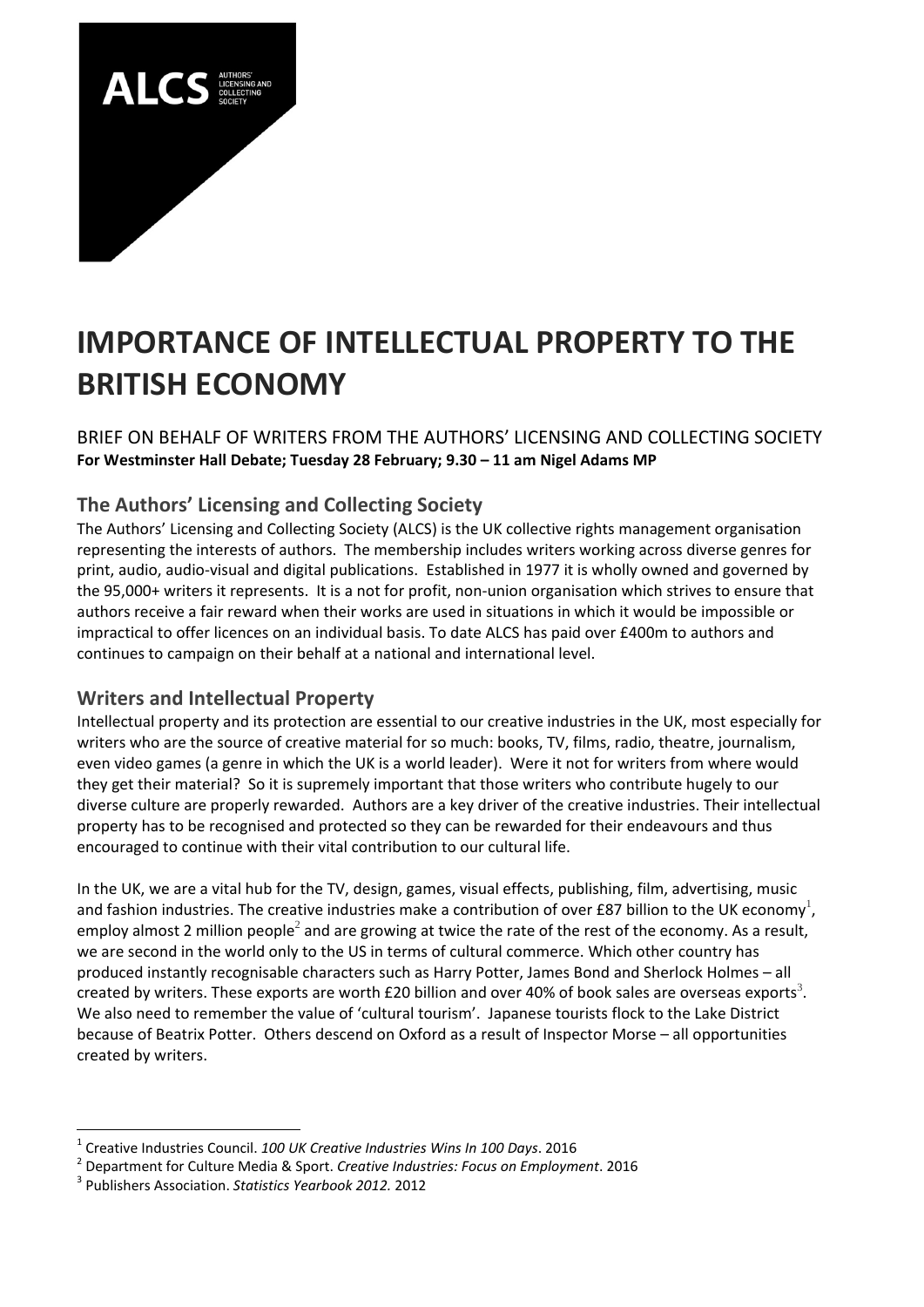

# **IMPORTANCE OF INTELLECTUAL PROPERTY TO THE BRITISH ECONOMY**

#### BRIEF ON BEHALF OF WRITERS FROM THE AUTHORS' LICENSING AND COLLECTING SOCIETY **For Westminster Hall Debate; Tuesday 28 February; 9.30 – 11 am Nigel Adams MP**

## **The Authors' Licensing and Collecting Society**

The Authors' Licensing and Collecting Society (ALCS) is the UK collective rights management organisation representing the interests of authors. The membership includes writers working across diverse genres for print, audio, audio‐visual and digital publications. Established in 1977 it is wholly owned and governed by the 95,000+ writers it represents. It is a not for profit, non‐union organisation which strives to ensure that authors receive a fair reward when their works are used in situations in which it would be impossible or impractical to offer licences on an individual basis. To date ALCS has paid over £400m to authors and continues to campaign on their behalf at a national and international level.

### **Writers and Intellectual Property**

Intellectual property and its protection are essential to our creative industries in the UK, most especially for writers who are the source of creative material for so much: books, TV, films, radio, theatre, journalism, even video games (a genre in which the UK is a world leader). Were it not for writers from where would they get their material? So it is supremely important that those writers who contribute hugely to our diverse culture are properly rewarded. Authors are a key driver of the creative industries. Their intellectual property has to be recognised and protected so they can be rewarded for their endeavours and thus encouraged to continue with their vital contribution to our cultural life.

In the UK, we are a vital hub for the TV, design, games, visual effects, publishing, film, advertising, music and fashion industries. The creative industries make a contribution of over £87 billion to the UK economy<sup>1</sup>, employ almost 2 million people<sup>2</sup> and are growing at twice the rate of the rest of the economy. As a result, we are second in the world only to the US in terms of cultural commerce. Which other country has produced instantly recognisable characters such as Harry Potter, James Bond and Sherlock Holmes – all created by writers. These exports are worth £20 billion and over 40% of book sales are overseas exports<sup>3</sup>. We also need to remember the value of 'cultural tourism'. Japanese tourists flock to the Lake District because of Beatrix Potter. Others descend on Oxford as a result of Inspector Morse – all opportunities created by writers.

<sup>&</sup>lt;sup>1</sup> Creative Industries Council. 100 UK Creative Industries Wins In 100 Days. 2016<br><sup>2</sup> Department for Culture Media & Sport. Creative Industries: Focus on Employment. 2016<br><sup>3</sup> Publishers Association. Statistics Yearbook 2